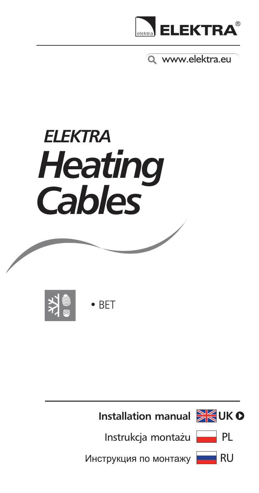

Q www.elektra.eu







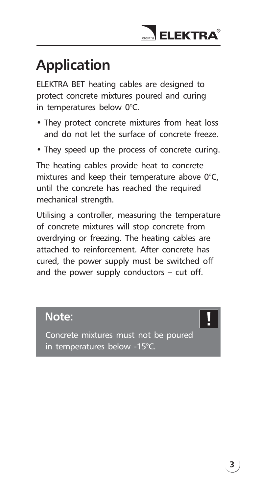

# **Application**

ELEKTRA BET heating cables are designed to protect concrete mixtures poured and curing in temperatures below 0°C.

- They protect concrete mixtures from heat loss and do not let the surface of concrete freeze.
- They speed up the process of concrete curing.

The heating cables provide heat to concrete mixtures and keep their temperature above 0°C, until the concrete has reached the required mechanical strength.

Utilising a controller, measuring the temperature of concrete mixtures will stop concrete from overdrying or freezing. The heating cables are attached to reinforcement. After concrete has cured, the power supply must be switched off and the power supply conductors  $-$  cut off.

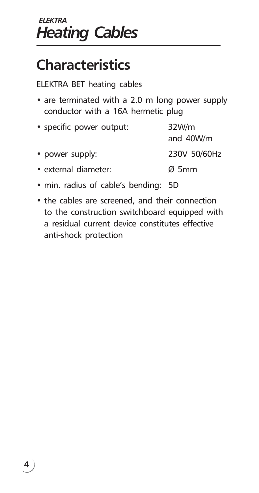#### *Heating Cables ELEKTRA*

### **Characteristics**

ELEKTRA BET heating cables

• are terminated with a 2.0 m long power supply conductor with a 16A hermetic plug

| • specific power output:             | 32W/m<br>and 40W/m |
|--------------------------------------|--------------------|
| • power supply:                      | 230V 50/60Hz       |
| • external diameter:                 | $\varnothing$ 5mm  |
| • min. radius of cable's bending: 5D |                    |

• the cables are screened, and their connection to the construction switchboard equipped with a residual current device constitutes effective anti-shock protection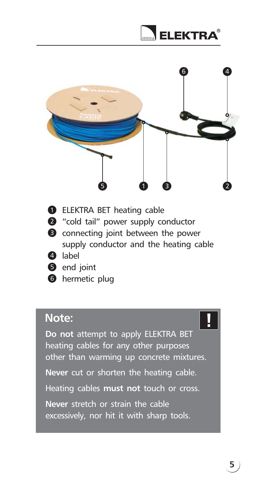



- **D** ELEKTRA BET heating cable
- 2 "cold tail" power supply conductor
- **3** connecting joint between the power supply conductor and the heating cable
- label 4
- $\bullet$  end joint
- **6** hermetic plug

#### **Note:**

**Do not** attempt to apply ELEKTRA BET heating cables for any other purposes other than warming up concrete mixtures.

**Never** cut or shorten the heating cable.

Heating cables **must not** touch or cross.

**Never** stretch or strain the cable excessively, nor hit it with sharp tools.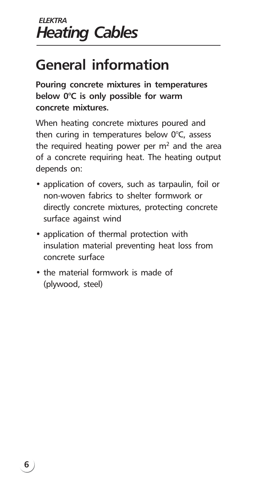#### *Heating Cables ELEKTRA*

## **General information**

**Pouring concrete mixtures in temperatures below 0°C is only possible for warm concrete mixtures.**

When heating concrete mixtures poured and then curing in temperatures below 0°C, assess the required heating power per  $m<sup>2</sup>$  and the area of a concrete requiring heat. The heating output depends on:

- application of covers, such as tarpaulin, foil or non-woven fabrics to shelter formwork or directly concrete mixtures, protecting concrete surface against wind
- application of thermal protection with insulation material preventing heat loss from concrete surface
- the material formwork is made of (plywood, steel)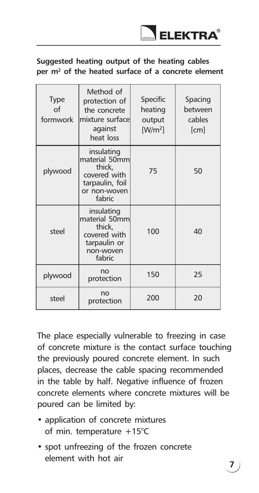

#### **Suggested heating output of the heating cables** per m<sup>2</sup> of the heated surface of a concrete element

| <b>Type</b><br>οf<br>formwork | Method of<br>protection of<br>the concrete<br>mixture surface<br>against<br>heat loss              | Specific<br>heating<br>output<br>$\left[\frac{W}{m^2}\right]$ | Spacing<br>hetween<br>cables<br>[cm] |
|-------------------------------|----------------------------------------------------------------------------------------------------|---------------------------------------------------------------|--------------------------------------|
| plywood                       | insulating<br>material 50mm<br>thick,<br>covered with<br>tarpaulin, foil<br>or non-woven<br>fabric | 75                                                            | 50                                   |
| steel                         | insulating<br>material 50mm<br>thick,<br>covered with<br>tarpaulin or<br>non-woven<br>fabric       | 100                                                           | 40                                   |
| plywood                       | no<br>protection                                                                                   | 150                                                           | 25                                   |
| steel                         | no<br>protection                                                                                   | 200                                                           | 20                                   |

The place especially vulnerable to freezing in case of concrete mixture is the contact surface touching the previously poured concrete element. In such places, decrease the cable spacing recommended in the table by half. Negative influence of frozen concrete elements where concrete mixtures will be poured can be limited by:

- application of concrete mixtures of min. temperature +15°C
- spot unfreezing of the frozen concrete element with hot air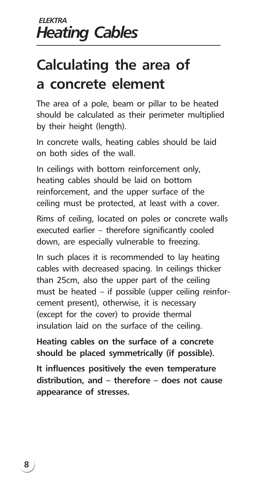# **Calculating the area of a concrete element**

The area of a pole, beam or pillar to be heated should be calculated as their perimeter multiplied by their height (length).

In concrete walls, heating cables should be laid on both sides of the wall.

In ceilings with bottom reinforcement only, heating cables should be laid on bottom reinforcement, and the upper surface of the ceiling must be protected, at least with a cover.

Rims of ceiling, located on poles or concrete walls executed earlier – therefore significantly cooled down, are especially vulnerable to freezing.

In such places it is recommended to lay heating cables with decreased spacing. In ceilings thicker than 25cm, also the upper part of the ceiling must be heated – if possible (upper ceiling reinforcement present), otherwise, it is necessary (except for the cover) to provide thermal insulation laid on the surface of the ceiling.

**Heating cables on the surface of a concrete should be placed symmetrically (if possible).**

**It influences positively the even temperature distribution, and – therefore – does not cause appearance of stresses.**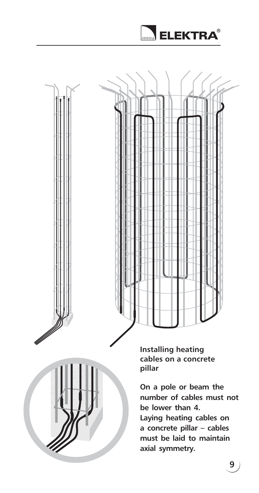

**Installing heating cables on a concrete pillar**

**ELEKTRA**<sup>®</sup>

**On a pole or beam the number of cables must not be lower than 4. Laying heating cables on a concrete pillar – cables must be laid to maintain axial symmetry.**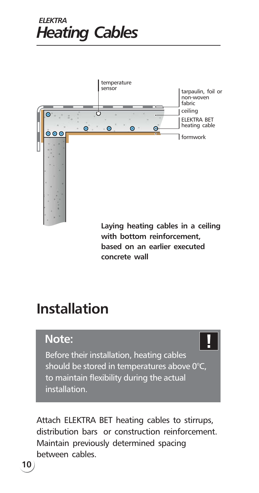#### *Heating Cables ELEKTRA*



**Laying heating cables in a ceiling with bottom reinforcement, based on an earlier executed concrete wall**

### **Installation**

#### **Note:**

Before their installation, heating cables should be stored in temperatures above 0°C, to maintain flexibility during the actual installation.

Attach ELEKTRA BET heating cables to stirrups, distribution bars or construction reinforcement. Maintain previously determined spacing between cables.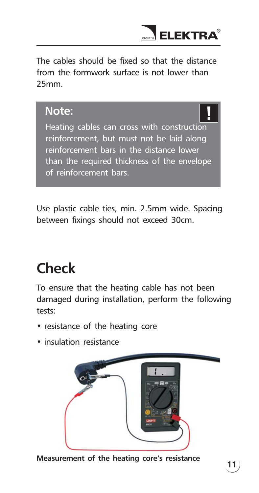

The cables should be fixed so that the distance from the formwork surface is not lower than 25mm.

#### **Note:**

Heating cables can cross with construction reinforcement, but must not be laid along reinforcement bars in the distance lower than the required thickness of the envelope of reinforcement bars.

Use plastic cable ties, min. 2.5mm wide. Spacing between fixings should not exceed 30cm.

# **Check**

To ensure that the heating cable has not been damaged during installation, perform the following tests:

- resistance of the heating core
- insulation resistance



**Measurement of the heating core's resistance**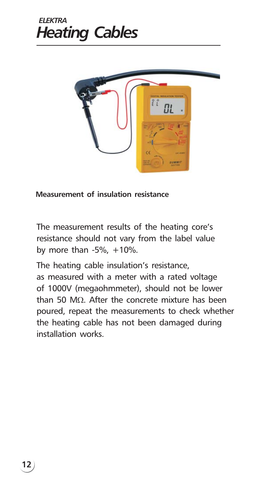

**Measurement of insulation resistance**

The measurement results of the heating core's resistance should not vary from the label value by more than  $-5\%$ ,  $+10\%$ .

The heating cable insulation's resistance, as measured with a meter with a rated voltage of 1000V (megaohmmeter), should not be lower than 50 M $\Omega$ . After the concrete mixture has been poured, repeat the measurements to check whether the heating cable has not been damaged during installation works.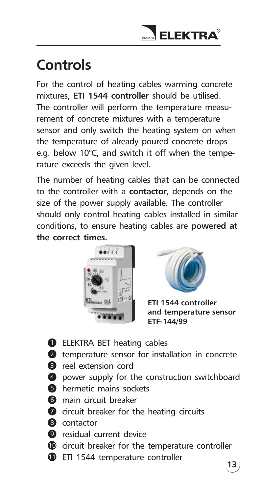

### **Controls**

For the control of heating cables warming concrete mixtures, **ETI 1544 controller** should be utilised. The controller will perform the temperature measurement of concrete mixtures with a temperature sensor and only switch the heating system on when the temperature of already poured concrete drops e.g. below 10°C, and switch it off when the temperature exceeds the given level.

The number of heating cables that can be connected to the controller with a **contactor**, depends on the size of the power supply available. The controller should only control heating cables installed in similar conditions, to ensure heating cables are **powered at the correct times.**





**ETI 1544 controller and temperature sensor ETF-144/99**

- **D** ELEKTRA BET heating cables
- 2 temperature sensor for installation in concrete
- **3** reel extension cord
- power supply for the construction switchboard 4
- **5** hermetic mains sockets
- **6** main circuit breaker
- **7** circuit breaker for the heating circuits
- 8 contactor
- residual current device 9
- $\bullet$  circuit breaker for the temperature controller
- $\bullet$  ETI 1544 temperature controller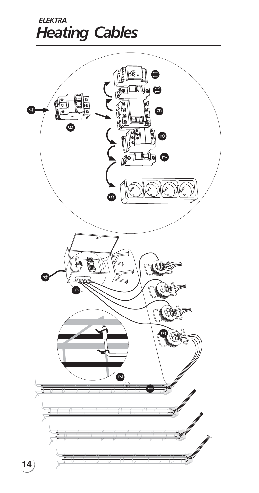

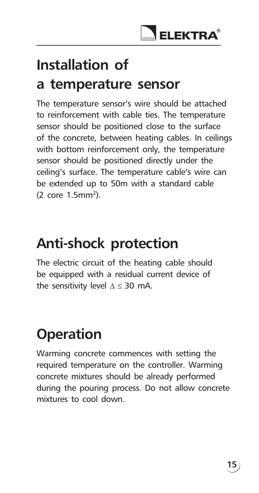

# **Installation of**

#### **a temperature sensor**

The temperature sensor's wire should be attached to reinforcement with cable ties. The temperature sensor should be positioned close to the surface of the concrete, between heating cables. In ceilings with bottom reinforcement only, the temperature sensor should be positioned directly under the ceiling's surface. The temperature cable's wire can be extended up to 50m with a standard cable  $(2 \text{ core } 1.5 \text{mm}^2).$ 

# **Anti-shock protection**

The electric circuit of the heating cable should be equipped with a residual current device of the sensitivity level  $\Delta \leq 30$  mA.

# **Operation**

Warming concrete commences with setting the required temperature on the controller. Warming concrete mixtures should be already performed during the pouring process. Do not allow concrete mixtures to cool down.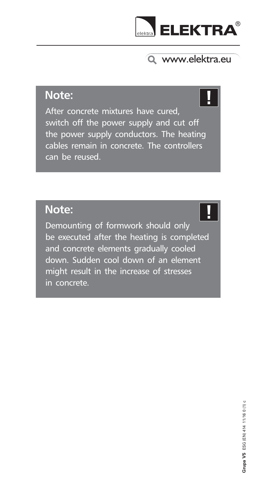

#### www.elektra.eu

µ

#### **Note:**

After concrete mixtures have cured, switch off the power supply and cut off the power supply conductors. The heating cables remain in concrete. The controllers can be reused.

#### **Note:**

Demounting of formwork should only be executed after the heating is completed and concrete elements gradually cooled down. Sudden cool down of an element might result in the increase of stresses in concrete.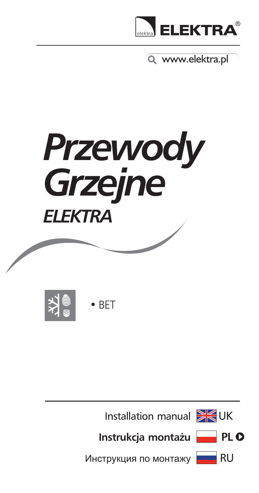

Q www.elektra.pl







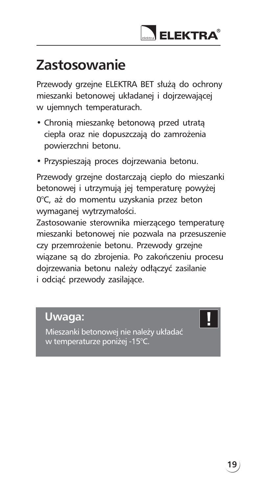

### **Zastosowanie**

Przewody grzejne ELEKTRA BET służą do ochrony mieszanki betonowej układanej i dojrzewającej w ujemnych temperaturach.

- Chronią mieszankę betonową przed utratą ciepła oraz nie dopuszczają do zamrożenia powierzchni betonu.
- Przyspieszają proces dojrzewania betonu.

Przewody grzejne dostarczają ciepło do mieszanki betonowej i utrzymują jej temperaturę powyżej 0°C, aż do momentu uzyskania przez beton wymaganej wytrzymałości.

Zastosowanie sterownika mierzącego temperaturę mieszanki betonowej nie pozwala na przesuszenie czy przemrożenie betonu. Przewody grzejne wiązane są do zbrojenia. Po zakończeniu procesu dojrzewania betonu należy odłączyć zasilanie i odciąć przewody zasilające.

**Uwaga:**

Mieszanki betonowej nie należy układać w temperaturze poniżej -15°C.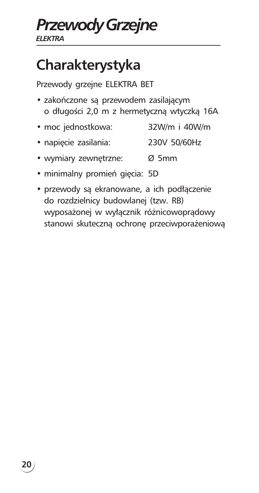# *PrzewodyGrzejne*

*ELEKTRA*

# **Charakterystyka**

Przewody grzejne ELEKTRA BET

- zakończone są przewodem zasilającym o długości 2,0 m z hermetyczną wtyczką 16A
- moc jednostkowa: 32W/m i 40W/m
- napięcie zasilania: 230V 50/60Hz
- wymiary zewnętrzne: Ø 5mm
- minimalny promień gięcia: 5D
- przewody są ekranowane, a ich podłączenie do rozdzielnicy budowlanej (tzw. RB) wyposażonej w wyłącznik różnicowoprądowy stanowi skuteczną ochronę przeciwporażeniową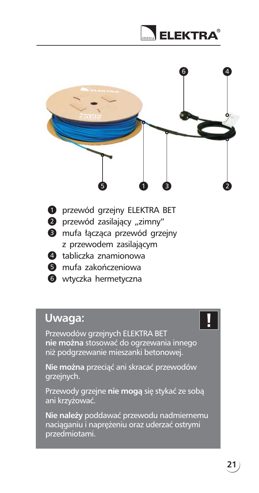



- **D** przewód grzejny ELEKTRA BET
- 2 przewód zasilający "zimny"
- mufa łącząca przewód grzejny 3 z przewodem zasilającym
- 4 tabliczka znamionowa
- 5 mufa zakończeniowa
- wtyczka hermetyczna 6

#### **Uwaga:**

Przewodów grzejnych ELEKTRA BET **nie można** stosować do ogrzewania innego niż podgrzewanie mieszanki betonowej.

**Nie można** przeciąć ani skracać przewodów grzejnych.

Przewody grzejne **nie mogą** się stykać ze sobą ani krzyżować.

**Nie należy** poddawać przewodu nadmiernemu naciąganiu i naprężeniu oraz uderzać ostrymi przedmiotami.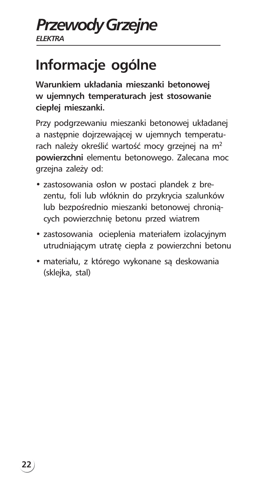*PrzewodyGrzejne*

*ELEKTRA*

# **Informacje ogólne**

**Warunkiem układania mieszanki betonowej w ujemnych temperaturach jest stosowanie ciepłej mieszanki.**

**powierzchni** elementu betonowego. Zalecana moc Przy podgrzewaniu mieszanki betonowej układanej a następnie dojrzewającej w ujemnych temperaturach należy określić wartość mocy grzejnej na m 2 grzejna zależy od:

- zastosowania osłon w postaci plandek z brezentu, foli lub włóknin do przykrycia szalunków lub bezpośrednio mieszanki betonowej chroniących powierzchnię betonu przed wiatrem
- zastosowania ocieplenia materiałem izolacyjnym utrudniającym utratę ciepła z powierzchni betonu
- materiału, z którego wykonane są deskowania (sklejka, stal)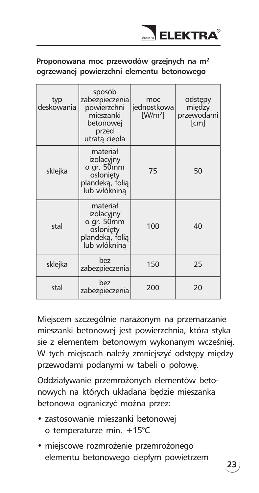

#### **Proponowana moc przewodów grzejnych na m 2 ogrzewanej powierzchni elementu betonowego**

| typ<br>deskowania | sposób<br>zabezpieczenia<br>powierzchni<br>mieszanki<br>betonowej<br>przed<br>utratą ciepła | moc<br>jednostkowa<br>$\left[\frac{W}{m^2}\right]$ | odstępy<br>między<br>przewodami<br>[cm] |
|-------------------|---------------------------------------------------------------------------------------------|----------------------------------------------------|-----------------------------------------|
| sklejka           | materiał<br>izolacyjny<br>o gr. 50mm<br>osłoniety<br>plandeka, folia<br>lub włóknina        | 75                                                 | 50                                      |
| stal              | materiał<br>izolacyjny<br>o gr. 50mm<br>osłonięty<br>plandeką, folią<br>lub włóknina        | 100                                                | 40                                      |
| sklejka           | bez<br>zabezpieczenia                                                                       | 150                                                | 25                                      |
| stal              | hez<br>zabezpieczenia                                                                       | 200                                                | 20                                      |

Miejscem szczególnie narażonym na przemarzanie mieszanki betonowej jest powierzchnia, która styka sie z elementem betonowym wykonanym wcześniej. W tych miejscach należy zmniejszyć odstępy między przewodami podanymi w tabeli o połowę.

Oddziaływanie przemrożonych elementów betonowych na których układana będzie mieszanka betonowa ograniczyć można przez:

- zastosowanie mieszanki betonowej o temperaturze min. +15°C
- miejscowe rozmrożenie przemrożonego elementu betonowego ciepłym powietrzem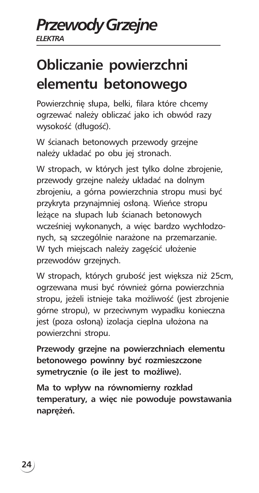*PrzewodyGrzejne*

*ELEKTRA*

# **Obliczanie powierzchni elementu betonowego**

Powierzchnię słupa, belki, filara które chcemy ogrzewać należy obliczać jako ich obwód razy wysokość (długość).

W ścianach betonowych przewody grzejne należy układać po obu jej stronach.

W stropach, w których jest tylko dolne zbrojenie, przewody grzejne należy układać na dolnym zbrojeniu, a górna powierzchnia stropu musi być przykryta przynajmniej osłoną. Wieńce stropu leżące na słupach lub ścianach betonowych wcześniej wykonanych, a więc bardzo wychłodzonych, są szczególnie narażone na przemarzanie. W tych miejscach należy zagęścić ułożenie przewodów grzejnych.

W stropach, których grubość jest większa niż 25cm, ogrzewana musi być również górna powierzchnia stropu, jeżeli istnieje taka możliwość (jest zbrojenie górne stropu), w przeciwnym wypadku konieczna jest (poza osłoną) izolacja cieplna ułożona na powierzchni stropu.

**Przewody grzejne na powierzchniach elementu betonowego powinny być rozmieszczone symetrycznie (o ile jest to możliwe).**

**Ma to wpływ na równomierny rozkład temperatury, a więc nie powoduje powstawania naprężeń.**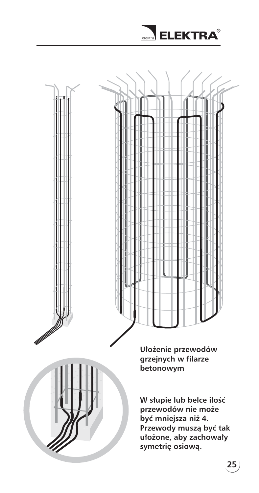

**ELEKTRA**<sup>®</sup>

**W słupie lub belce ilość przewodów nie może być mniejsza niż 4. Przewody muszą być tak ułożone, aby zachowały symetrię osiową.**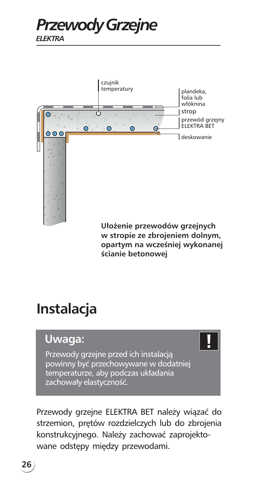



**Ułożenie przewodów grzejnych w stropie ze zbrojeniem dolnym, opartym na wcześniej wykonanej ścianie betonowej**

#### **Instalacja**

#### **Uwaga:**

Przewody grzejne przed ich instalacją powinny być przechowywane w dodatniej temperaturze, aby podczas układania zachowały elastyczność.

Przewody grzejne ELEKTRA BET należy wiązać do strzemion, prętów rozdzielczych lub do zbrojenia konstrukcyjnego. Należy zachować zaprojektowane odstępy między przewodami.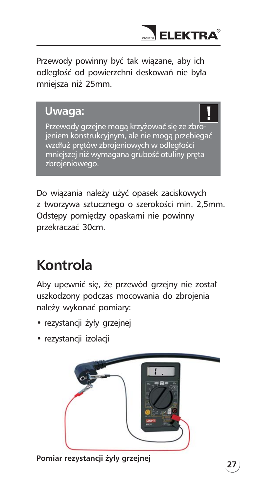

Przewody powinny być tak wiązane, aby ich odległość od powierzchni deskowań nie była mniejsza niż 25mm.

#### **Uwaga:**

Przewody grzejne mogą krzyżować się ze zbrojeniem konstrukcyjnym, ale nie mogą przebiegać wzdłuż prętów zbrojeniowych w odległości mniejszej niż wymagana grubość otuliny pręta zbrojeniowego.

Do wiązania należy użyć opasek zaciskowych z tworzywa sztucznego o szerokości min. 2,5mm. Odstępy pomiędzy opaskami nie powinny przekraczać 30cm.

# **Kontrola**

Aby upewnić się, że przewód grzejny nie został uszkodzony podczas mocowania do zbrojenia należy wykonać pomiary:

- rezystancji żyły grzejnej
- rezystancji izolacji



**Pomiar rezystancji żyły grzejnej**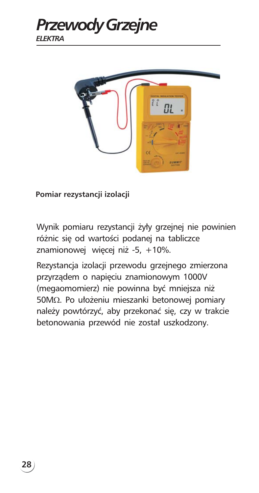



**Pomiar rezystancji izolacji**

Wynik pomiaru rezystancji żyły grzejnej nie powinien różnic się od wartości podanej na tabliczce znamionowej więcej niż -5, +10%.

Rezystancja izolacji przewodu grzejnego zmierzona przyrządem o napięciu znamionowym 1000V (megaomomierz) nie powinna być mniejsza niż 50M . Po ułożeniu mieszanki betonowej pomiary należy powtórzyć, aby przekonać się, czy w trakcie betonowania przewód nie został uszkodzony.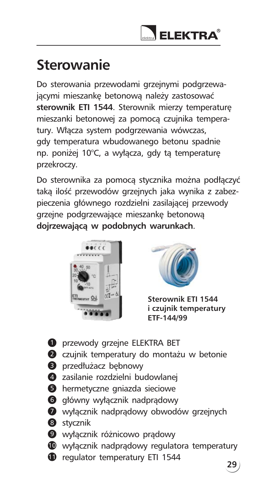

### **Sterowanie**

Do sterowania przewodami grzejnymi podgrzewającymi mieszankę betonową należy zastosować **sterownik ETI 1544**. Sterownik mierzy temperaturę mieszanki betonowej za pomocą czujnika temperatury. Włącza system podgrzewania wówczas, gdy temperatura wbudowanego betonu spadnie np. poniżej 10°C, a wyłącza, gdy tą temperaturę przekroczy.

Do sterownika za pomocą stycznika można podłączyć taką ilość przewodów grzejnych jaka wynika z zabezpieczenia głównego rozdzielni zasilającej przewody grzejne podgrzewające mieszankę betonową . **dojrzewającą w podobnych warunkach**





**Sterownik ETI 1544 i czujnik temperatury ETF-144/99**

**D** przewody grzejne ELEKTRA BET 2 czujnik temperatury do montażu w betonie przedłużacz bębnowy 3 zasilanie rozdzielni budowlanej 4 **5** hermetyczne gniazda sieciowe **6** główny wyłącznik nadprądowy wyłącznik nadprądowy obwodów grzejnych 7 8 stycznik wyłącznik różnicowo prądowy 9  $\textcircled{\textbf{u}}$  wyłącznik nadprądowy regulatora temperatury  $\bullet$  regulator temperatury ETI 1544 **29**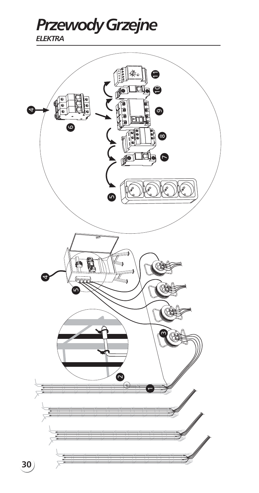*PrzewodyGrzejne*

*ELEKTRA*

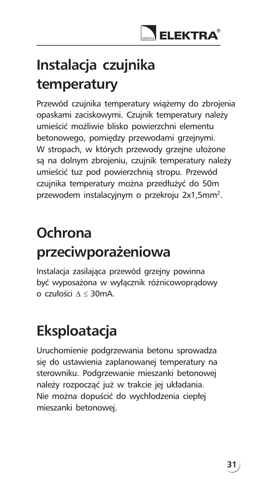

# **Instalacja czujnika temperatury**

Przewód czujnika temperatury wiążemy do zbrojenia opaskami zaciskowymi. Czujnik temperatury należy umieścić możliwie blisko powierzchni elementu betonowego, pomiędzy przewodami grzejnymi. W stropach, w których przewody grzejne ułożone są na dolnym zbrojeniu, czujnik temperatury należy umieścić tuz pod powierzchnią stropu. Przewód czujnika temperatury można przedłużyć do 50m przewodem instalacyjnym o przekroju 2x1,5mm<sup>2</sup>.

# **Ochrona przeciwporażeniowa**

Instalacja zasilająca przewód grzejny powinna być wyposażona w wyłącznik różnicowoprądowy o czułości  $\Delta \leq 30$ mA.

# **Eksploatacja**

Uruchomienie podgrzewania betonu sprowadza się do ustawienia zaplanowanej temperatury na sterowniku. Podgrzewanie mieszanki betonowej należy rozpocząć już w trakcie jej układania. Nie można dopuścić do wychłodzenia ciepłej mieszanki betonowej.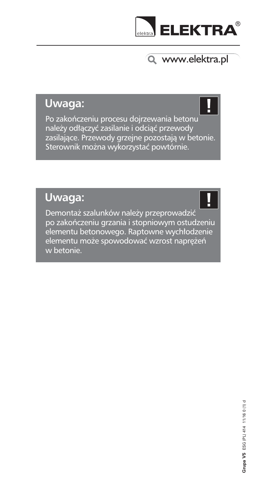

#### Q www.elektra.pl

IJ

L

#### **Uwaga:**

Po zakończeniu procesu dojrzewania betonu należy odłączyć zasilanie i odciąć przewody zasilające. Przewody grzejne pozostają w betonie. Sterownik można wykorzystać powtórnie.

#### **Uwaga:**

Demontaż szalunków należy przeprowadzić po zakończeniu grzania i stopniowym ostudzeniu elementu betonowego. Raptowne wychłodzenie elementu może spowodować wzrost naprężeń w betonie.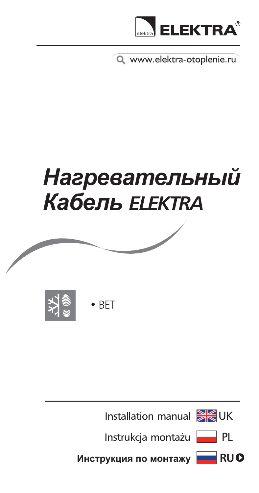

Q www.elektra-otoplenie.ru

# **Кабель ELEKTRA** Нагревательный

 $\overline{\phantom{a}}$ 





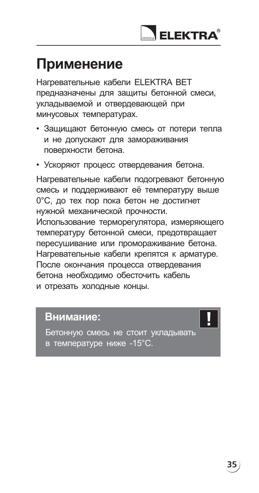

### Применение

Нагревательные кабели ELEKTRA BET предназначены для защиты бетонной смеси, укладываемой и отвердевающей при минусовых температурах.

- Защищают бетонную смесь от потери тепла и не допускают для замораживания поверхности бетона.
- Ускоряют процесс отвердевания бетона.

Нагревательные кабели подогревают бетонную смесь и поддерживают её температуру выше 0°С, до тех пор пока бетон не достигнет нужной механической прочности.

Использование терморегулятора, измеряющего температуру бетонной смеси, предотвращает пересушивание или промораживание бетона. Нагревательные кабели крепятся к арматуре. После окончания процесса отвердевания бетона необходимо обесточить кабель и отрезать холодные концы.

#### Внимание:

Бетонную смесь не стоит укладывать в температуре ниже -15°С.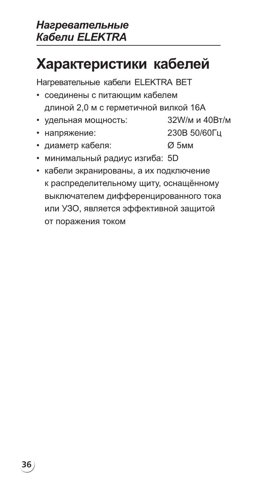### Характеристики кабелей

Нагревательные кабели ELEKTRA BET

- соединены с питающим кабелем длиной 2,0 м с герметичной вилкой 16А
- удельная мощность:
- напряжение:
- 32W/м и 40Вт/м 230В 50/60Гц
- диаметр кабеля:  $Ø5mm$
- минимальный радиус изгиба: 5D
- кабели экранированы, а их подключение к распределительному щиту, оснащённому выключателем дифференцированного тока или УЗО, является эффективной защитой от поражения током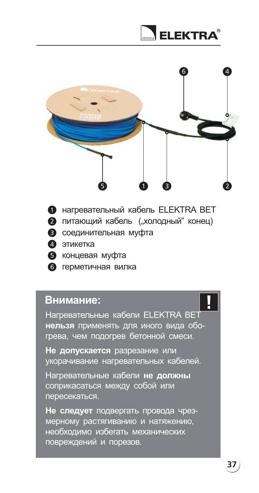



- **1** нагревательный кабель ELEKTRA BET
- 2 питающий кабель ("холодный" конец)
- **В** соединительная муфта
- 4 этикетка
- **5** концевая муфта
- 6 герметичная вилка

#### **Внимание:**

Нагревательные кабели ELEKTRA BET **нельзя** применять для иного вида обогрева, чем подогрев бетонной смеси.

Не допускается разрезание или укорачивание нагревательных кабелей.

Нагревательные кабели **не должны** соприкасаться между собой или пересекаться.

Не следует подвергать провода чрезмерному растягиванию и натяжению, необходимо избегать механических повреждений и порезов.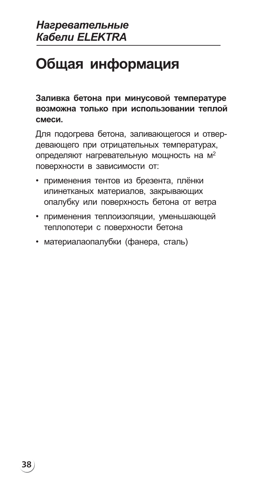### Общая информация

Заливка бетона при минусовой температуре возможна только при использовании теплой смеси.

Для подогрева бетона, заливающегося и отвердевающего при отрицательных температурах, определяют нагревательную мощность на м<sup>2</sup> поверхности в зависимости от:

- применения тентов из брезента, плёнки илинетканых материалов, закрывающих опалубку или поверхность бетона от ветра
- применения теплоизоляции, уменьшающей теплопотери с поверхности бетона
- материалаопалубки (фанера, сталь)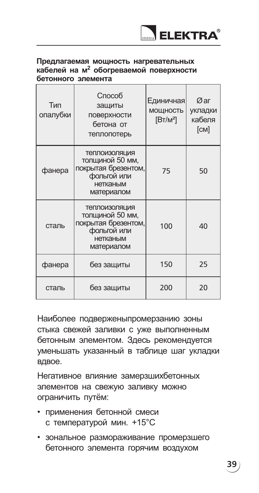

#### Предлагаемая мощность нагревательных кабелей на м<sup>2</sup> обогреваемой поверхности бетонного элемента

| Тип<br>опалубки | Способ<br>защиты<br>поверхности<br>бетона от<br>теплопотерь                                             | Единичная<br>МОЩНОСТЬ<br>[Br/m <sup>2</sup> ] | Øаг<br>укладки<br>кабеля<br>[CM] |
|-----------------|---------------------------------------------------------------------------------------------------------|-----------------------------------------------|----------------------------------|
| фанера          | <b>ТЕПЛОИЗОЛЯЦИЯ</b><br>толщиной 50 мм,<br>покрытая брезентом,<br>фольгой или<br>нетканым<br>материалом | 75                                            | 50                               |
| сталь           | <b>ТЕПЛОИЗОЛЯЦИЯ</b><br>толщиной 50 мм,<br>покрытая брезентом,<br>фольгой или<br>нетканым<br>материалом | 100                                           | 40                               |
| фанера          | без защиты                                                                                              | 150                                           | 25                               |
| сталь           | без защиты                                                                                              | 200                                           | 20                               |

Наиболее подверженыпромерзанию зоны стыка свежей заливки с уже выполненным бетонным элементом. Здесь рекомендуется уменьшать указанный в таблице шаг укладки вдвое.

Негативное влияние замерзшихбетонных элементов на свежую заливку можно ограничить путём:

- применения бетонной смеси с температурой мин. +15°С
- зональное размораживание промерзшего бетонного элемента горячим воздухом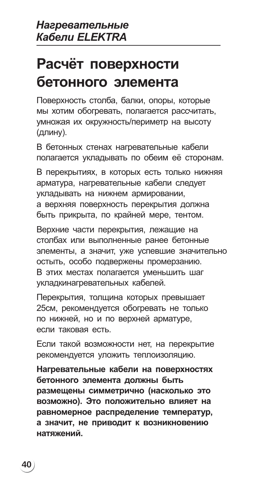# Расчёт поверхности бетонного элемента

Поверхность столба, балки, опоры, которые мы хотим обогревать, полагается рассчитать. умножая их окружность/периметр на высоту (длину).

В бетонных стенах нагревательные кабели полагается укладывать по обеим её сторонам.

В перекрытиях, в которых есть только нижняя арматура, нагревательные кабели следует укладывать на нижнем армировании, а верхняя поверхность перекрытия должна быть прикрыта, по крайней мере, тентом.

Верхние части перекрытия, лежащие на столбах или выполненные ранее бетонные элементы, а значит, уже успевшие значительно остыть, особо подвержены промерзанию. В этих местах полагается уменьшить шаг укладкинагревательных кабелей.

Перекрытия, толщина которых превышает 25см, рекомендуется обогревать не только по нижней, но и по верхней арматуре, если таковая есть.

Если такой возможности нет, на перекрытие рекомендуется уложить теплоизоляцию.

Нагревательные кабели на поверхностях бетонного элемента должны быть размещены симметрично (насколько это возможно). Это положительно влияет на равномерное распределение температур, а значит, не приводит к возникновению натяжений.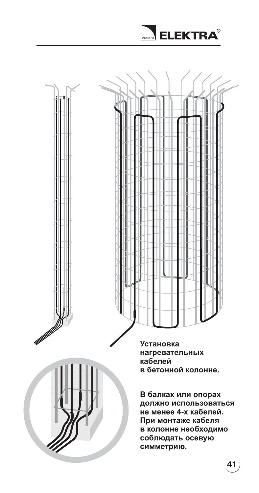

нагревательных кабелей в бетонной колонне.

 $\sum_{\text{electra}}$  ELEKTRA<sup>®</sup>

В балках или опорах должно использоваться не менее 4-х кабелей. При монтаже кабеля в колонне необходимо соблюдать осевую симметрию.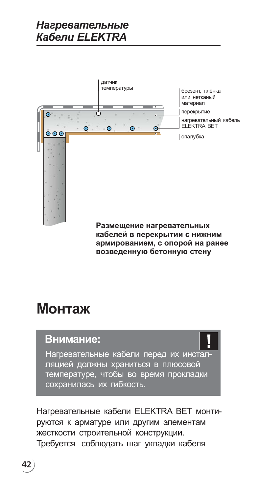#### *Íàãðåâàòåëüíûå Êàáåëè ELEKTRA*



Размещение нагревательных кабелей в перекрытии с нижним армированием, с опорой на ранее возведенную бетонную стену

#### **Монтаж**

#### **Внимание:**

Нагревательные кабели перед их инсталляцией должны храниться в плюсовой температуре, чтобы во время прокладки сохранилась их гибкость.

Нагревательные кабели ELEKTRA BET монтируются к арматуре или другим элементам жесткости строительной конструкции. Требуется соблюдать шаг укладки кабеля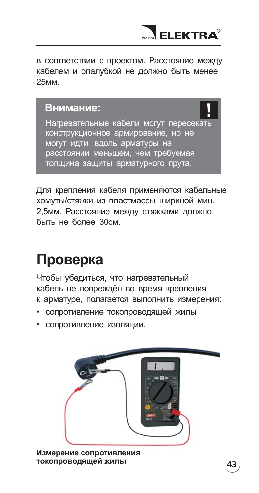

в соответствии с проектом. Расстояние между кабелем и опалубкой не должно быть менее **25мм** 

#### **Внимание:**

Нагревательные кабели могут пересекать конструкционное армирование, но не могут идти вдоль арматуры на расстоянии меньшем, чем требуемая толщина защиты арматурного прута.

Для крепления кабеля применяются кабельные хомуты/стяжки из пластмассы шириной мин. 2,5мм. Расстояние между стяжками должно быть не более 30см.

# Проверка

Чтобы убедиться, что нагревательный кабель не повреждён во время крепления к арматуре, полагается выполнить измерения:

- сопротивление токопроводящей жилы
- сопротивление изоляции.



Измерение сопротивления токопроводящей жилы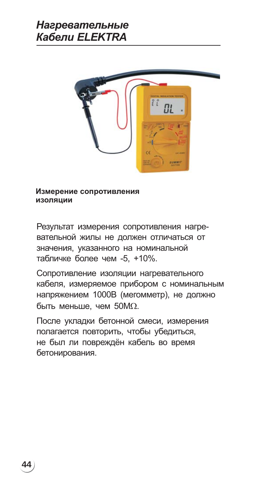#### **Нагревательные** Кабели ELEKTRA



Измерение сопротивления изоляции

Результат измерения сопротивления нагревательной жилы не должен отличаться от значения, указанного на номинальной табличке более чем -5, +10%.

Сопротивление изоляции нагревательного кабеля, измеряемое прибором с номинальным напряжением 1000В (мегомметр), не должно быть меньше, чем  $50M\Omega$ .

После укладки бетонной смеси, измерения полагается повторить, чтобы убедиться, не был ли повреждён кабель во время бетонирования.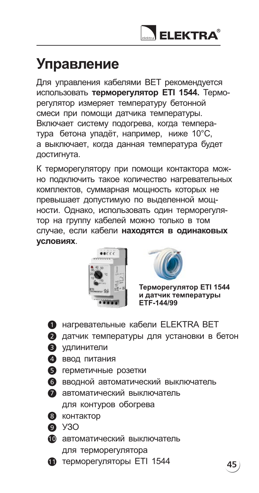

# **Управление**

Для управления кабелями BET рекомендуется использовать терморегулятор ЕТІ 1544. Терморегулятор измеряет температуру бетонной смеси при помощи датчика температуры. Включает систему подогрева, когда температура бетона упадёт, например, ниже 10°С, а выключает, когда данная температура будет достигнута.

К терморегулятору при помощи контактора можно подключить такое количество нагревательных комплектов, суммарная мощность которых не превышает допустимую по выделенной мощности. Однако, использовать один терморегулятор на группу кабелей можно только в том случае, если кабели **находятся в одинаковых** условиях.





Терморегулятор ETI 1544 **и датчик температуры ETF-144/99**

- - **1** нагревательные кабели ELEKTRA BET
	- 2 датчик температуры для установки в бетон
- **3** удлинители
- **ввод питания**
- **Э** герметичные розетки
- 6 вводной автоматический выключатель
- 7 автоматический выключатель для контуров обогрева
- **8** контактор
- 9 Y30
- 10 автоматический выключатель
	- для терморегулятора
- $\Phi$  терморегуляторы ETI 1544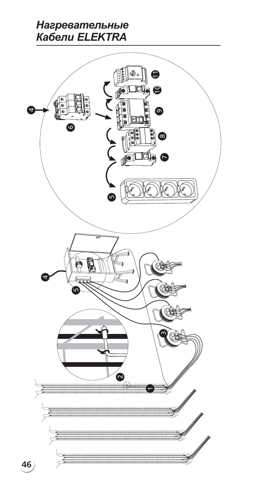Нагревательные *Êàáåëè ELEKTRA*

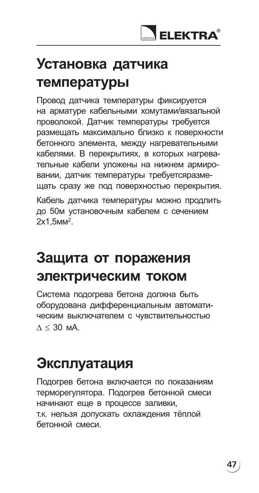

# Установка датчика температуры

Провод датчика температуры фиксируется на арматуре кабельными хомутами/вязальной проволокой. Датчик температуры требуется размещать максимально близко к поверхности бетонного элемента, между нагревательными кабелями. В перекрытиях, в которых нагревательные кабели уложены на нижнем армировании, датчик температуры требуетсяразмещать сразу же под поверхностью перекрытия.

Кабель датчика температуры можно продлить до 50м установочным кабелем с сечением  $2x1,5mm^2$ .

## Защита от поражения электрическим током

Система подогрева бетона должна быть оборудована дифференциальным автоматическим выключателем с чувствительностью  $\Delta \leq 30$  MA.

# Эксплуатация

Подогрев бетона включается по показаниям терморегулятора. Подогрев бетонной смеси начинают еще в процессе заливки, т.к. нельзя допускать охлаждения тёплой бетонной смеси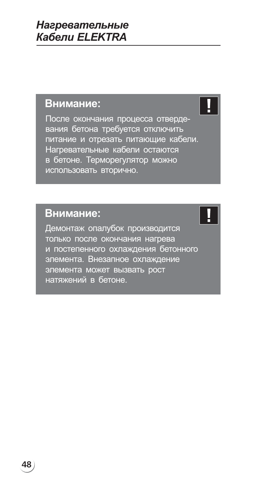#### Внимание:

После окончания процесса отвердевания бетона требуется отключить питание и отрезать питающие кабели. Нагревательные кабели остаются в бетоне. Терморегулятор можно использовать вторично.

Ц

#### Внимание:

Демонтаж опалубок производится только после окончания нагрева и постепенного охлаждения бетонного элемента. Внезапное охлаждение элемента может вызвать рост натяжений в бетоне.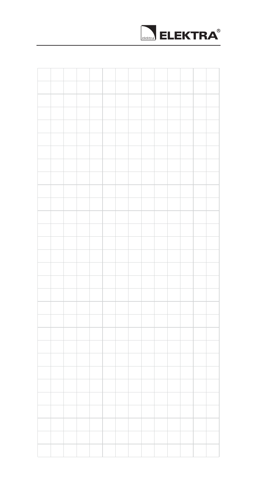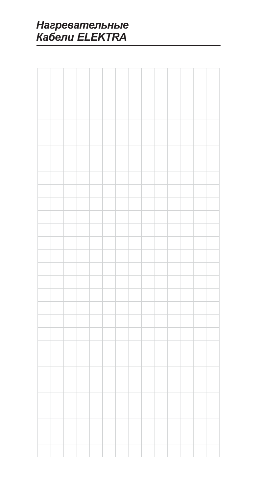# Нагревательные<br>Кабели ELEKTRA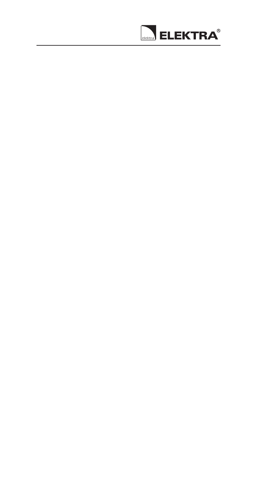